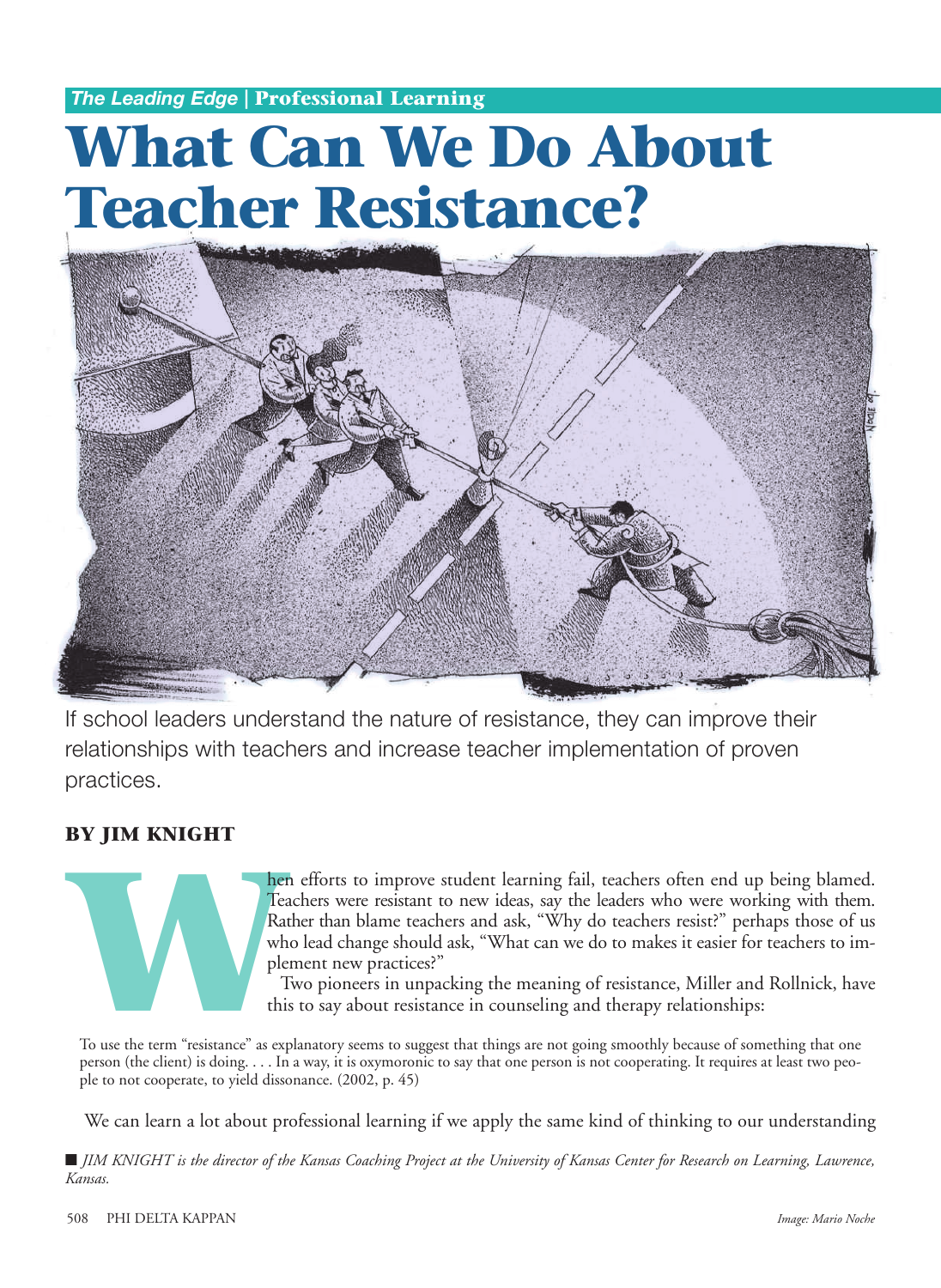*The Leading Edge* **| Professional Learning**

# **What Can We Do About Teacher Resistance?**



If school leaders understand the nature of resistance, they can improve their relationships with teachers and increase teacher implementation of proven practices.

# **BY JIM KNIGHT**



**Mather than blame teachers and ask**, "Why do teachers resist?" perhaps those of us who lead change should ask, "What can we do to makes it easier for teachers to implement new practices?" Two pioneers in unpacking the mea Teachers were resistant to new ideas, say the leaders who were working with them. Rather than blame teachers and ask, "Why do teachers resist?" perhaps those of us who lead change should ask, "What can we do to makes it easier for teachers to implement new practices?"

Two pioneers in unpacking the meaning of resistance, Miller and Rollnick, have this to say about resistance in counseling and therapy relationships:

To use the term "resistance" as explanatory seems to suggest that things are not going smoothly because of something that one person (the client) is doing. . . . In a way, it is oxymoronic to say that one person is not cooperating. It requires at least two people to not cooperate, to yield dissonance. (2002, p. 45)

We can learn a lot about professional learning if we apply the same kind of thinking to our understanding

**■** *JIM KNIGHT is the director of the Kansas Coaching Project at the University of Kansas Center for Research on Learning, Lawrence, Kansas.*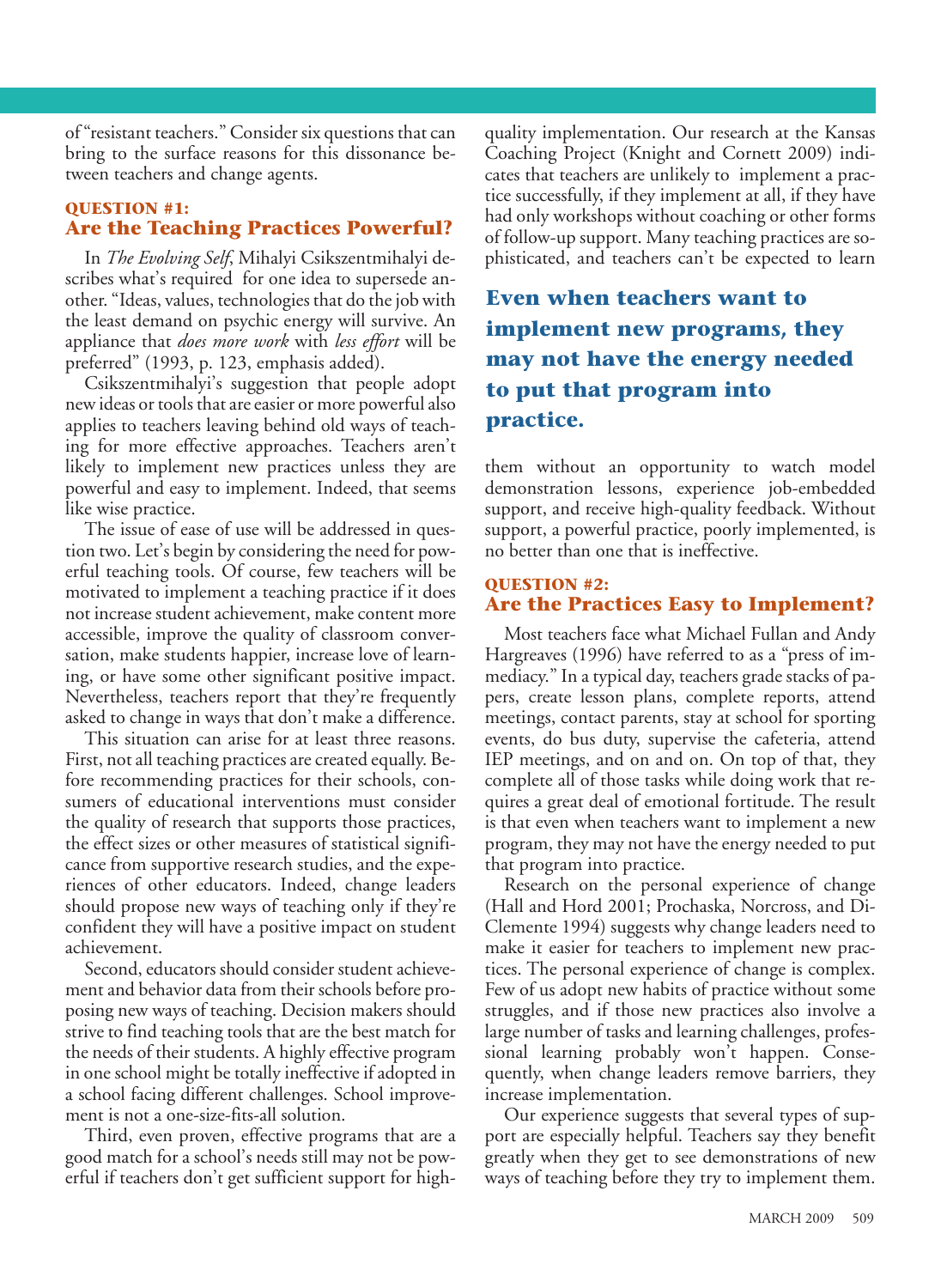of "resistant teachers." Consider six questions that can bring to the surface reasons for this dissonance between teachers and change agents.

#### **QUESTION #1: Are the Teaching Practices Powerful?**

In *The Evolving Self*, Mihalyi Csikszentmihalyi describes what's required for one idea to supersede another. "Ideas, values, technologies that do the job with the least demand on psychic energy will survive. An appliance that *does more work* with *less effort* will be preferred" (1993, p. 123, emphasis added).

Csikszentmihalyi's suggestion that people adopt new ideas or tools that are easier or more powerful also applies to teachers leaving behind old ways of teaching for more effective approaches. Teachers aren't likely to implement new practices unless they are powerful and easy to implement. Indeed, that seems like wise practice.

The issue of ease of use will be addressed in question two. Let's begin by considering the need for powerful teaching tools. Of course, few teachers will be motivated to implement a teaching practice if it does not increase student achievement, make content more accessible, improve the quality of classroom conversation, make students happier, increase love of learning, or have some other significant positive impact. Nevertheless, teachers report that they're frequently asked to change in ways that don't make a difference.

This situation can arise for at least three reasons. First, not all teaching practices are created equally. Before recommending practices for their schools, consumers of educational interventions must consider the quality of research that supports those practices, the effect sizes or other measures of statistical significance from supportive research studies, and the experiences of other educators. Indeed, change leaders should propose new ways of teaching only if they're confident they will have a positive impact on student achievement.

Second, educators should consider student achievement and behavior data from their schools before proposing new ways of teaching. Decision makers should strive to find teaching tools that are the best match for the needs of their students. A highly effective program in one school might be totally ineffective if adopted in a school facing different challenges. School improvement is not a one-size-fits-all solution.

Third, even proven, effective programs that are a good match for a school's needs still may not be powerful if teachers don't get sufficient support for high-

quality implementation. Our research at the Kansas Coaching Project (Knight and Cornett 2009) indicates that teachers are unlikely to implement a practice successfully, if they implement at all, if they have had only workshops without coaching or other forms of follow-up support. Many teaching practices are sophisticated, and teachers can't be expected to learn

# **Even when teachers want to implement new programs, they may not have the energy needed to put that program into practice.**

them without an opportunity to watch model demonstration lessons, experience job-embedded support, and receive high-quality feedback. Without support, a powerful practice, poorly implemented, is no better than one that is ineffective.

#### **QUESTION #2: Are the Practices Easy to Implement?**

Most teachers face what Michael Fullan and Andy Hargreaves (1996) have referred to as a "press of immediacy." In a typical day, teachers grade stacks of papers, create lesson plans, complete reports, attend meetings, contact parents, stay at school for sporting events, do bus duty, supervise the cafeteria, attend IEP meetings, and on and on. On top of that, they complete all of those tasks while doing work that requires a great deal of emotional fortitude. The result is that even when teachers want to implement a new program, they may not have the energy needed to put that program into practice.

Research on the personal experience of change (Hall and Hord 2001; Prochaska, Norcross, and Di-Clemente 1994) suggests why change leaders need to make it easier for teachers to implement new practices. The personal experience of change is complex. Few of us adopt new habits of practice without some struggles, and if those new practices also involve a large number of tasks and learning challenges, professional learning probably won't happen. Consequently, when change leaders remove barriers, they increase implementation.

Our experience suggests that several types of support are especially helpful. Teachers say they benefit greatly when they get to see demonstrations of new ways of teaching before they try to implement them.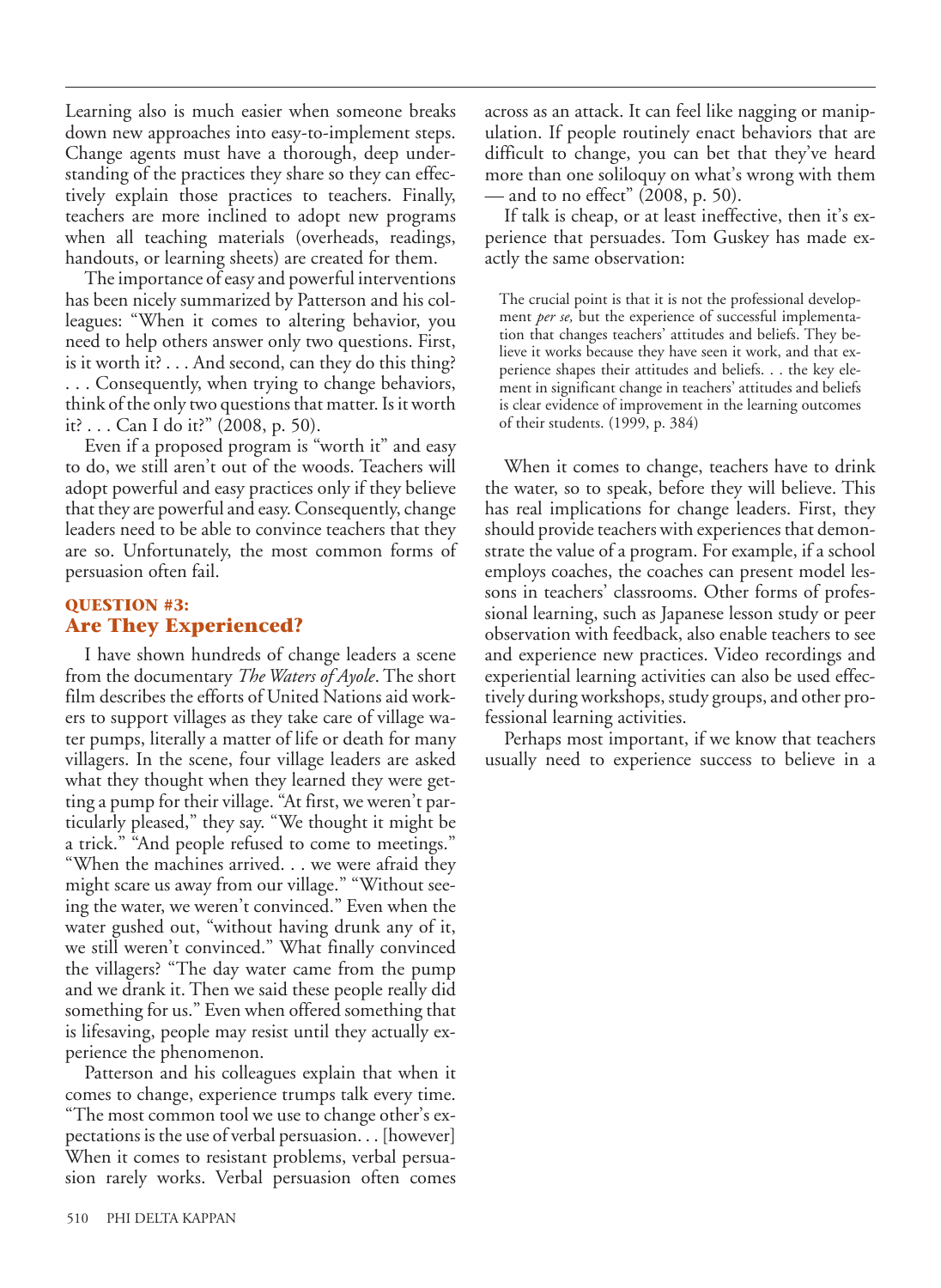Learning also is much easier when someone breaks down new approaches into easy-to-implement steps. Change agents must have a thorough, deep understanding of the practices they share so they can effectively explain those practices to teachers. Finally, teachers are more inclined to adopt new programs when all teaching materials (overheads, readings, handouts, or learning sheets) are created for them.

The importance of easy and powerful interventions has been nicely summarized by Patterson and his colleagues: "When it comes to altering behavior, you need to help others answer only two questions. First, is it worth it? . . . And second, can they do this thing? . . . Consequently, when trying to change behaviors, think of the only two questions that matter. Is it worth it? . . . Can I do it?" (2008, p. 50).

Even if a proposed program is "worth it" and easy to do, we still aren't out of the woods. Teachers will adopt powerful and easy practices only if they believe that they are powerful and easy. Consequently, change leaders need to be able to convince teachers that they are so. Unfortunately, the most common forms of persuasion often fail.

#### **QUESTION #3: Are They Experienced?**

I have shown hundreds of change leaders a scene from the documentary *The Waters of Ayole*. The short film describes the efforts of United Nations aid workers to support villages as they take care of village water pumps, literally a matter of life or death for many villagers. In the scene, four village leaders are asked what they thought when they learned they were getting a pump for their village. "At first, we weren't particularly pleased," they say. "We thought it might be a trick." "And people refused to come to meetings." "When the machines arrived. . . we were afraid they might scare us away from our village." "Without seeing the water, we weren't convinced." Even when the water gushed out, "without having drunk any of it, we still weren't convinced." What finally convinced the villagers? "The day water came from the pump and we drank it. Then we said these people really did something for us." Even when offered something that is lifesaving, people may resist until they actually experience the phenomenon.

Patterson and his colleagues explain that when it comes to change, experience trumps talk every time. "The most common tool we use to change other's expectations is the use of verbal persuasion. . . [however] When it comes to resistant problems, verbal persuasion rarely works. Verbal persuasion often comes

across as an attack. It can feel like nagging or manipulation. If people routinely enact behaviors that are difficult to change, you can bet that they've heard more than one soliloquy on what's wrong with them — and to no effect" (2008, p. 50).

If talk is cheap, or at least ineffective, then it's experience that persuades. Tom Guskey has made exactly the same observation:

The crucial point is that it is not the professional development *per se,* but the experience of successful implementation that changes teachers' attitudes and beliefs. They believe it works because they have seen it work, and that experience shapes their attitudes and beliefs. . . the key element in significant change in teachers' attitudes and beliefs is clear evidence of improvement in the learning outcomes of their students. (1999, p. 384)

When it comes to change, teachers have to drink the water, so to speak, before they will believe. This has real implications for change leaders. First, they should provide teachers with experiences that demonstrate the value of a program. For example, if a school employs coaches, the coaches can present model lessons in teachers' classrooms. Other forms of professional learning, such as Japanese lesson study or peer observation with feedback, also enable teachers to see and experience new practices. Video recordings and experiential learning activities can also be used effectively during workshops, study groups, and other professional learning activities.

Perhaps most important, if we know that teachers usually need to experience success to believe in a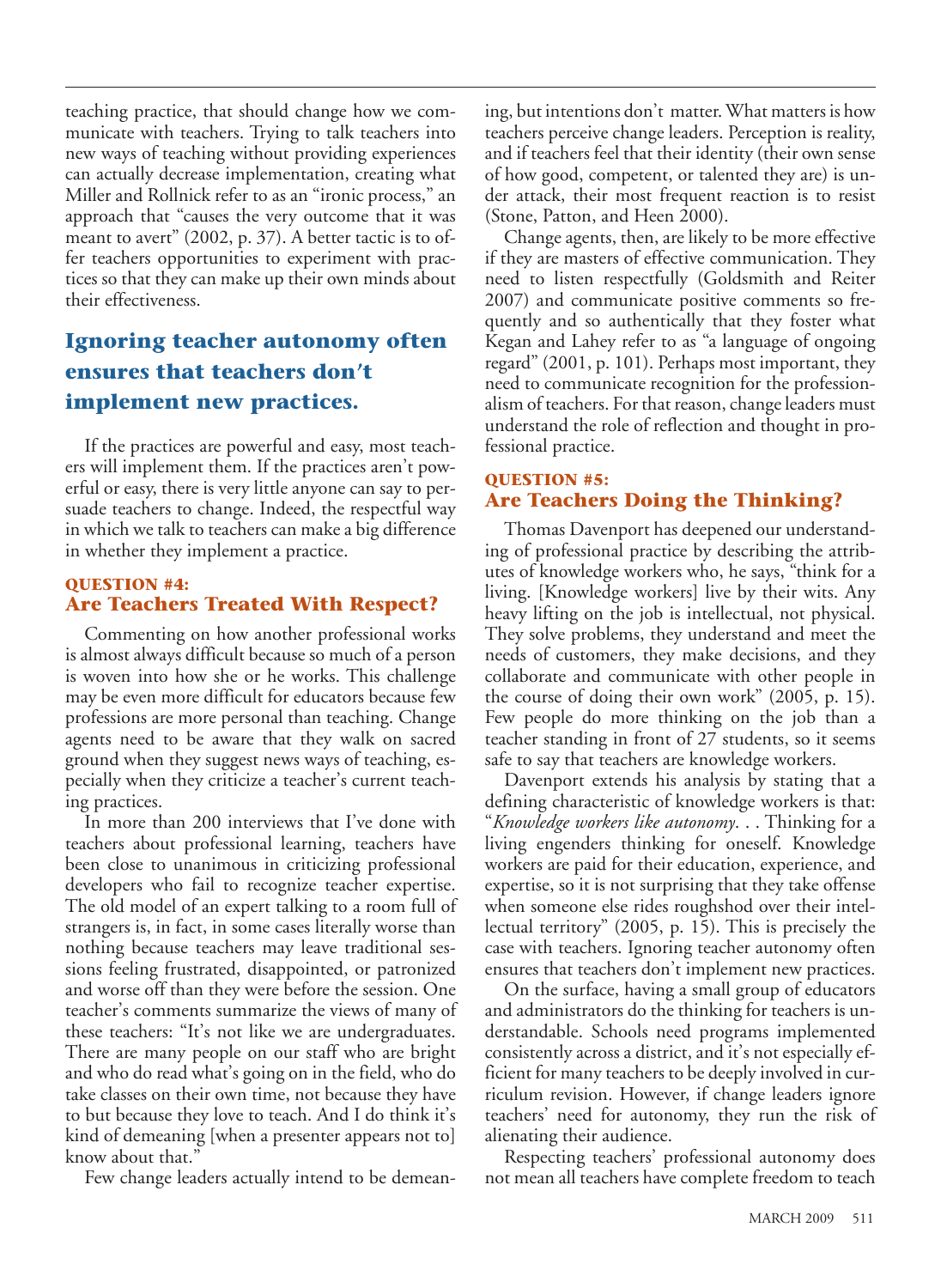teaching practice, that should change how we communicate with teachers. Trying to talk teachers into new ways of teaching without providing experiences can actually decrease implementation, creating what Miller and Rollnick refer to as an "ironic process," an approach that "causes the very outcome that it was meant to avert" (2002, p. 37). A better tactic is to offer teachers opportunities to experiment with practices so that they can make up their own minds about their effectiveness.

# **Ignoring teacher autonomy often ensures that teachers don't implement new practices.**

If the practices are powerful and easy, most teachers will implement them. If the practices aren't powerful or easy, there is very little anyone can say to persuade teachers to change. Indeed, the respectful way in which we talk to teachers can make a big difference in whether they implement a practice.

#### **QUESTION #4: Are Teachers Treated With Respect?**

Commenting on how another professional works is almost always difficult because so much of a person is woven into how she or he works. This challenge may be even more difficult for educators because few professions are more personal than teaching. Change agents need to be aware that they walk on sacred ground when they suggest news ways of teaching, especially when they criticize a teacher's current teaching practices.

In more than 200 interviews that I've done with teachers about professional learning, teachers have been close to unanimous in criticizing professional developers who fail to recognize teacher expertise. The old model of an expert talking to a room full of strangers is, in fact, in some cases literally worse than nothing because teachers may leave traditional sessions feeling frustrated, disappointed, or patronized and worse off than they were before the session. One teacher's comments summarize the views of many of these teachers: "It's not like we are undergraduates. There are many people on our staff who are bright and who do read what's going on in the field, who do take classes on their own time, not because they have to but because they love to teach. And I do think it's kind of demeaning [when a presenter appears not to] know about that."

Few change leaders actually intend to be demean-

ing, but intentions don't matter. What matters is how teachers perceive change leaders. Perception is reality, and if teachers feel that their identity (their own sense of how good, competent, or talented they are) is under attack, their most frequent reaction is to resist (Stone, Patton, and Heen 2000).

Change agents, then, are likely to be more effective if they are masters of effective communication. They need to listen respectfully (Goldsmith and Reiter 2007) and communicate positive comments so frequently and so authentically that they foster what Kegan and Lahey refer to as "a language of ongoing regard" (2001, p. 101). Perhaps most important, they need to communicate recognition for the professionalism of teachers. For that reason, change leaders must understand the role of reflection and thought in professional practice.

#### **QUESTION #5: Are Teachers Doing the Thinking?**

Thomas Davenport has deepened our understanding of professional practice by describing the attributes of knowledge workers who, he says, "think for a living. [Knowledge workers] live by their wits. Any heavy lifting on the job is intellectual, not physical. They solve problems, they understand and meet the needs of customers, they make decisions, and they collaborate and communicate with other people in the course of doing their own work" (2005, p. 15). Few people do more thinking on the job than a teacher standing in front of 27 students, so it seems safe to say that teachers are knowledge workers.

Davenport extends his analysis by stating that a defining characteristic of knowledge workers is that: "*Knowledge workers like autonomy*. . . Thinking for a living engenders thinking for oneself. Knowledge workers are paid for their education, experience, and expertise, so it is not surprising that they take offense when someone else rides roughshod over their intellectual territory" (2005, p. 15). This is precisely the case with teachers. Ignoring teacher autonomy often ensures that teachers don't implement new practices.

On the surface, having a small group of educators and administrators do the thinking for teachers is understandable. Schools need programs implemented consistently across a district, and it's not especially efficient for many teachers to be deeply involved in curriculum revision. However, if change leaders ignore teachers' need for autonomy, they run the risk of alienating their audience.

Respecting teachers' professional autonomy does not mean all teachers have complete freedom to teach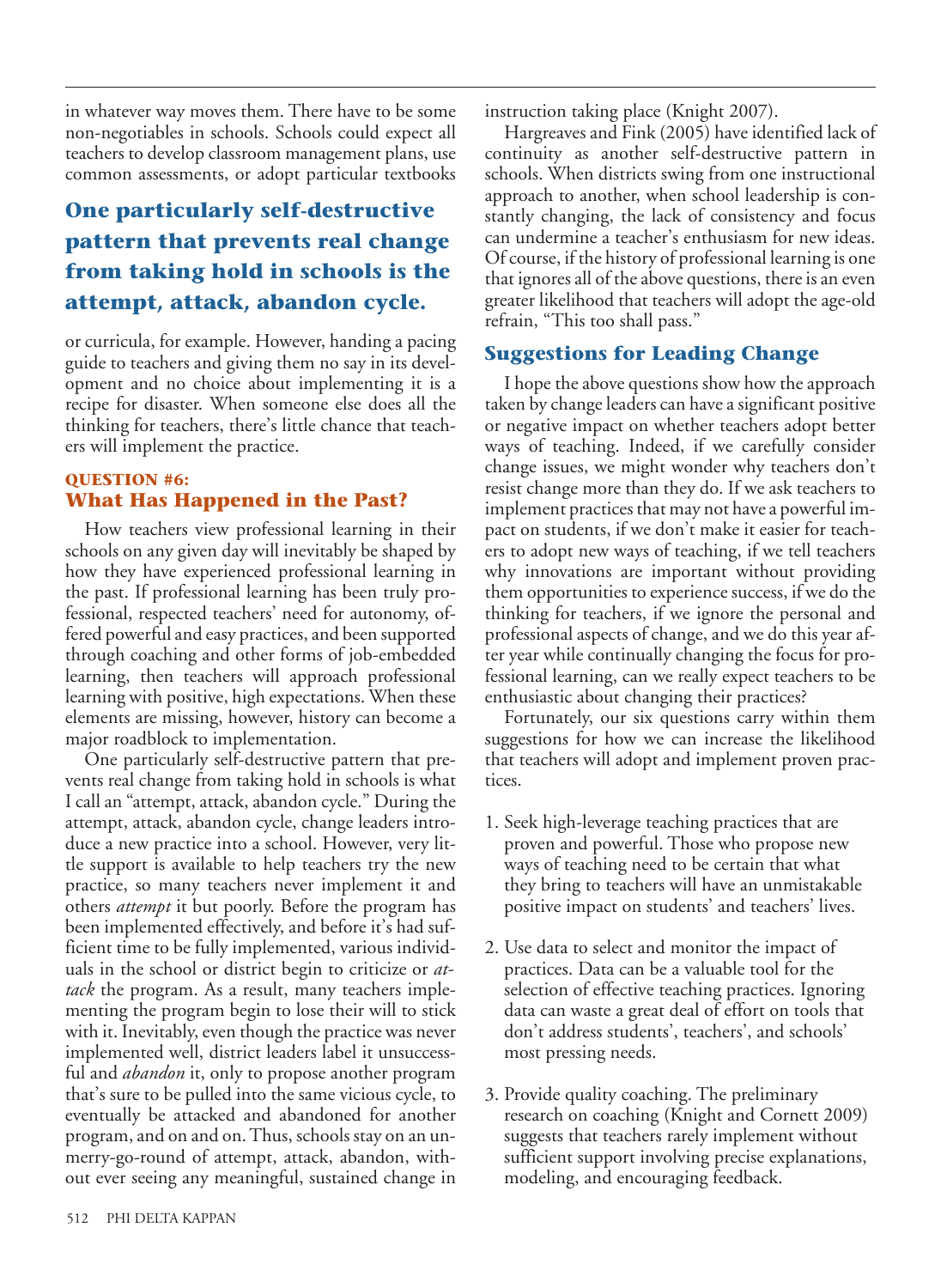in whatever way moves them. There have to be some non-negotiables in schools. Schools could expect all teachers to develop classroom management plans, use common assessments, or adopt particular textbooks

# **One particularly self-destructive pattern that prevents real change from taking hold in schools is the attempt, attack, abandon cycle.**

or curricula, for example. However, handing a pacing guide to teachers and giving them no say in its development and no choice about implementing it is a recipe for disaster. When someone else does all the thinking for teachers, there's little chance that teachers will implement the practice.

## **QUESTION #6: What Has Happened in the Past?**

How teachers view professional learning in their schools on any given day will inevitably be shaped by how they have experienced professional learning in the past. If professional learning has been truly professional, respected teachers' need for autonomy, offered powerful and easy practices, and been supported through coaching and other forms of job-embedded learning, then teachers will approach professional learning with positive, high expectations. When these elements are missing, however, history can become a major roadblock to implementation.

One particularly self-destructive pattern that prevents real change from taking hold in schools is what I call an "attempt, attack, abandon cycle." During the attempt, attack, abandon cycle, change leaders introduce a new practice into a school. However, very little support is available to help teachers try the new practice, so many teachers never implement it and others *attempt* it but poorly. Before the program has been implemented effectively, and before it's had sufficient time to be fully implemented, various individuals in the school or district begin to criticize or *attack* the program. As a result, many teachers implementing the program begin to lose their will to stick with it. Inevitably, even though the practice was never implemented well, district leaders label it unsuccessful and *abandon* it, only to propose another program that's sure to be pulled into the same vicious cycle, to eventually be attacked and abandoned for another program, and on and on. Thus, schools stay on an unmerry-go-round of attempt, attack, abandon, without ever seeing any meaningful, sustained change in instruction taking place (Knight 2007).

Hargreaves and Fink (2005) have identified lack of continuity as another self-destructive pattern in schools. When districts swing from one instructional approach to another, when school leadership is constantly changing, the lack of consistency and focus can undermine a teacher's enthusiasm for new ideas. Of course, if the history of professional learning is one that ignores all of the above questions, there is an even greater likelihood that teachers will adopt the age-old refrain, "This too shall pass."

## **Suggestions for Leading Change**

I hope the above questions show how the approach taken by change leaders can have a significant positive or negative impact on whether teachers adopt better ways of teaching. Indeed, if we carefully consider change issues, we might wonder why teachers don't resist change more than they do. If we ask teachers to implement practices that may not have a powerful impact on students, if we don't make it easier for teachers to adopt new ways of teaching, if we tell teachers why innovations are important without providing them opportunities to experience success, if we do the thinking for teachers, if we ignore the personal and professional aspects of change, and we do this year after year while continually changing the focus for professional learning, can we really expect teachers to be enthusiastic about changing their practices?

Fortunately, our six questions carry within them suggestions for how we can increase the likelihood that teachers will adopt and implement proven practices.

- 1. Seek high-leverage teaching practices that are proven and powerful. Those who propose new ways of teaching need to be certain that what they bring to teachers will have an unmistakable positive impact on students' and teachers' lives.
- 2. Use data to select and monitor the impact of practices. Data can be a valuable tool for the selection of effective teaching practices. Ignoring data can waste a great deal of effort on tools that don't address students', teachers', and schools' most pressing needs.
- 3. Provide quality coaching. The preliminary research on coaching (Knight and Cornett 2009) suggests that teachers rarely implement without sufficient support involving precise explanations, modeling, and encouraging feedback.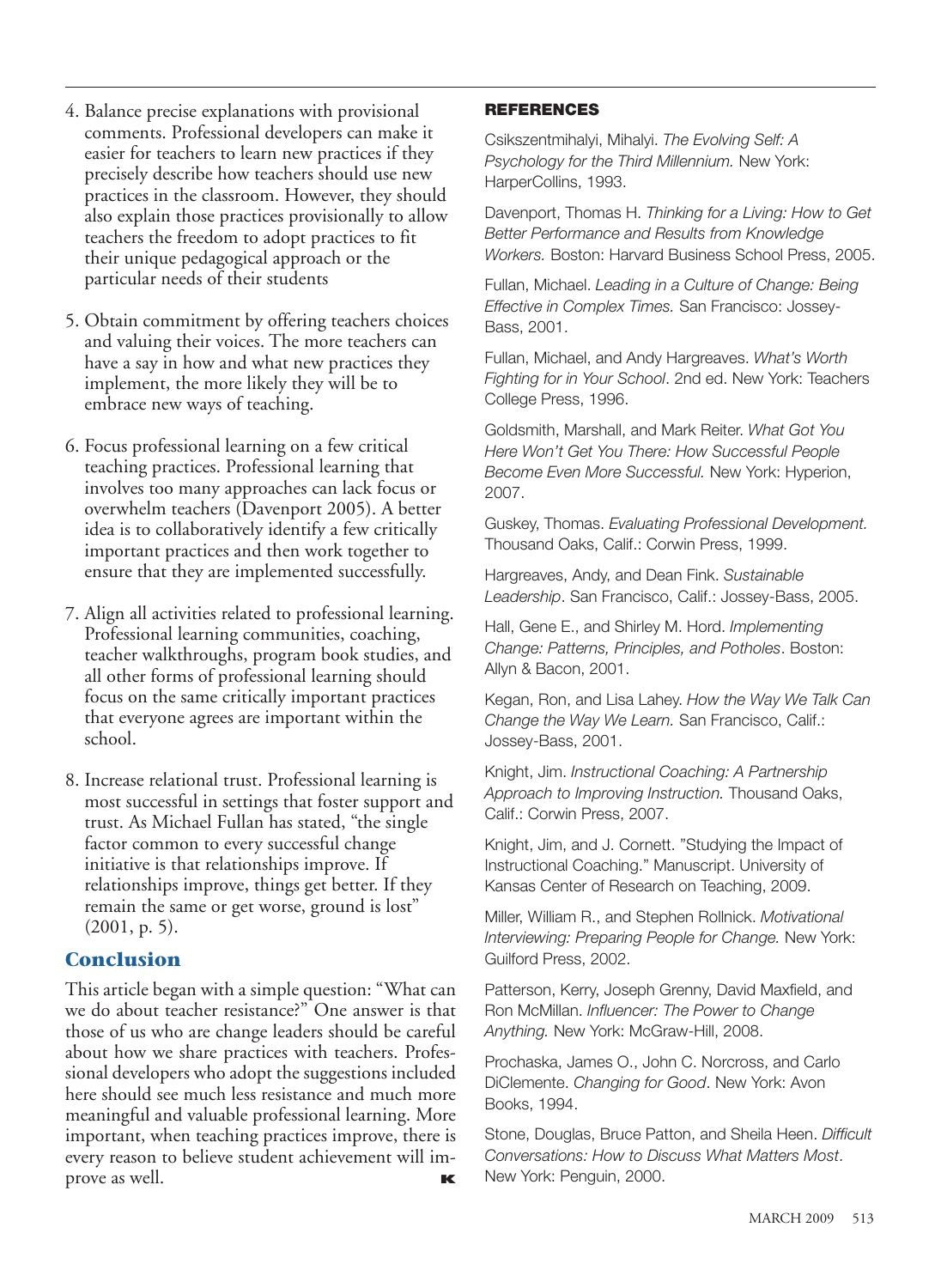- 4. Balance precise explanations with provisional comments. Professional developers can make it easier for teachers to learn new practices if they precisely describe how teachers should use new practices in the classroom. However, they should also explain those practices provisionally to allow teachers the freedom to adopt practices to fit their unique pedagogical approach or the particular needs of their students
- 5. Obtain commitment by offering teachers choices and valuing their voices. The more teachers can have a say in how and what new practices they implement, the more likely they will be to embrace new ways of teaching.
- 6. Focus professional learning on a few critical teaching practices. Professional learning that involves too many approaches can lack focus or overwhelm teachers (Davenport 2005). A better idea is to collaboratively identify a few critically important practices and then work together to ensure that they are implemented successfully.
- 7. Align all activities related to professional learning. Professional learning communities, coaching, teacher walkthroughs, program book studies, and all other forms of professional learning should focus on the same critically important practices that everyone agrees are important within the school.
- 8. Increase relational trust. Professional learning is most successful in settings that foster support and trust. As Michael Fullan has stated, "the single factor common to every successful change initiative is that relationships improve. If relationships improve, things get better. If they remain the same or get worse, ground is lost" (2001, p. 5).

#### **Conclusion**

This article began with a simple question: "What can we do about teacher resistance?" One answer is that those of us who are change leaders should be careful about how we share practices with teachers. Professional developers who adopt the suggestions included here should see much less resistance and much more meaningful and valuable professional learning. More important, when teaching practices improve, there is every reason to believe student achievement will improve as well. **K** 

#### **REFERENCES**

Csikszentmihalyi, Mihalyi. *The Evolving Self: A Psychology for the Third Millennium.* New York: HarperCollins, 1993.

Davenport, Thomas H. *Thinking for a Living: How to Get Better Performance and Results from Knowledge Workers.* Boston: Harvard Business School Press, 2005.

Fullan, Michael. *Leading in a Culture of Change: Being Effective in Complex Times.* San Francisco: Jossey-Bass, 2001.

Fullan, Michael, and Andy Hargreaves. *What's Worth Fighting for in Your School*. 2nd ed. New York: Teachers College Press, 1996.

Goldsmith, Marshall, and Mark Reiter. *What Got You Here Won't Get You There: How Successful People Become Even More Successful.* New York: Hyperion, 2007.

Guskey, Thomas. *Evaluating Professional Development.* Thousand Oaks, Calif.: Corwin Press, 1999.

Hargreaves, Andy, and Dean Fink. *Sustainable Leadership*. San Francisco, Calif.: Jossey-Bass, 2005.

Hall, Gene E., and Shirley M. Hord. *Implementing Change: Patterns, Principles, and Potholes*. Boston: Allyn & Bacon, 2001.

Kegan, Ron, and Lisa Lahey. *How the Way We Talk Can Change the Way We Learn.* San Francisco, Calif.: Jossey-Bass, 2001.

Knight, Jim. *Instructional Coaching: A Partnership Approach to Improving Instruction.* Thousand Oaks, Calif.: Corwin Press, 2007.

Knight, Jim, and J. Cornett. "Studying the Impact of Instructional Coaching." Manuscript. University of Kansas Center of Research on Teaching, 2009.

Miller, William R., and Stephen Rollnick. *Motivational Interviewing: Preparing People for Change.* New York: Guilford Press, 2002.

Patterson, Kerry, Joseph Grenny, David Maxfield, and Ron McMillan. *Influencer: The Power to Change Anything.* New York: McGraw-Hill, 2008.

Prochaska, James O., John C. Norcross, and Carlo DiClemente. *Changing for Good*. New York: Avon Books, 1994.

Stone, Douglas, Bruce Patton, and Sheila Heen. *Difficult Conversations: How to Discuss What Matters Most*. New York: Penguin, 2000.